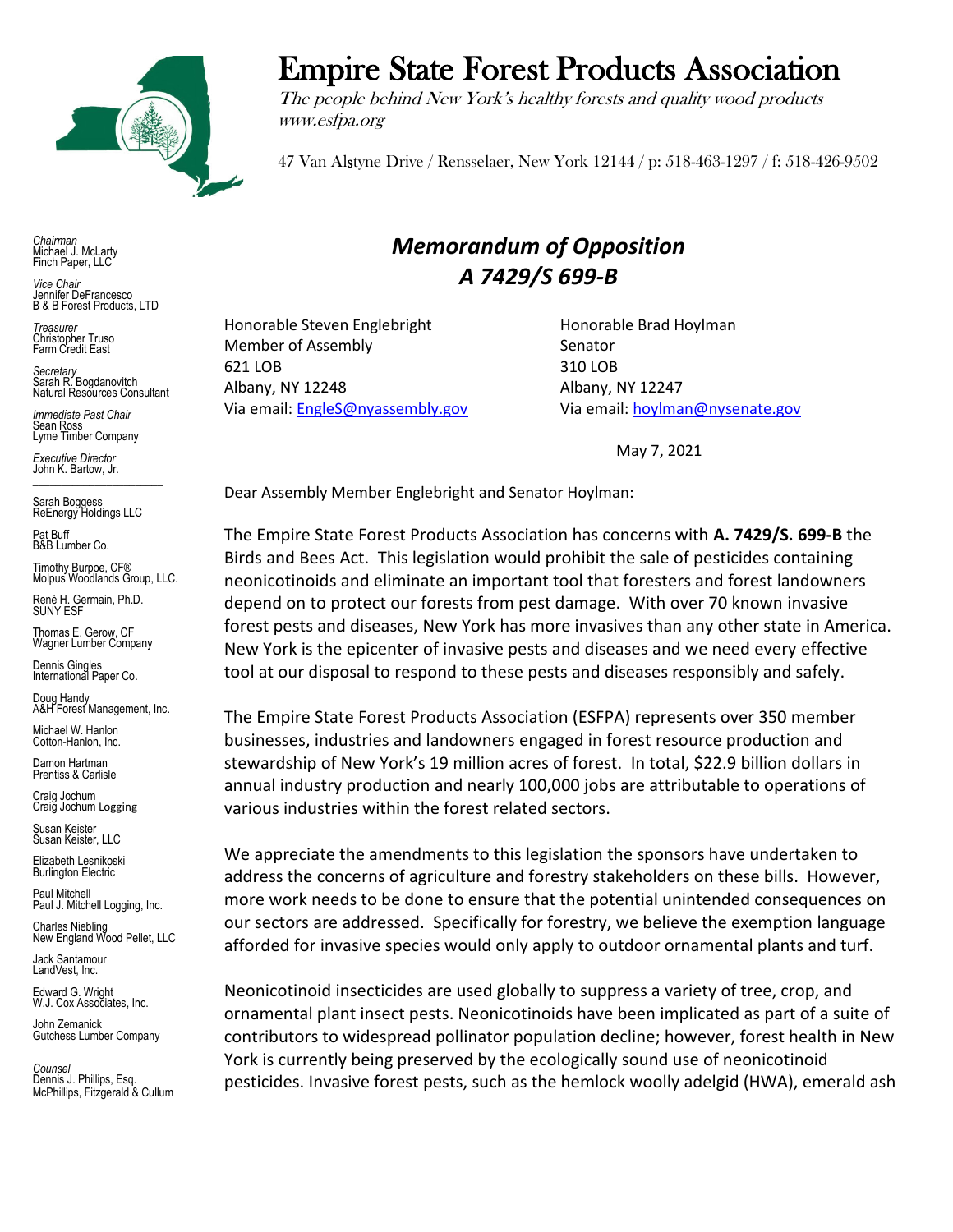

*Chairman* Michael J. McLarty Finch Paper, LLC

*Vice Chair* Jennifer DeFrancesco B & B Forest Products, LTD

*Treasurer* Christopher Truso Farm Credit East

*Secretary* Sarah R. Bogdanovitch Natural Resources Consultant

*Immediate Past Chair* Sean Ross Lyme Timber Company

*Executive Director* John K. Bartow, Jr.  $\mathcal{L}_\text{max}$  , we are the set of the set of the set of the set of the set of the set of the set of the set of the set of the set of the set of the set of the set of the set of the set of the set of the set of the set of

Sarah Boggess ReEnergy Holdings LLC

Pat Buff B&B Lumber Co.

Timothy Burpoe, CF® Molpus Woodlands Group, LLC.

Renè H. Germain, Ph.D. SUNY ESF

Thomas E. Gerow, CF Wagner Lumber Company

Dennis Gingles International Paper Co.

Doug Handy A&H Forest Management, Inc.

Michael W. Hanlon Cotton-Hanlon, Inc.

Damon Hartman Prentiss & Carlisle

Craig Jochum Craig Jochum Logging

Susan Keister Susan Keister, LLC

Elizabeth Lesnikoski **Burlington Electric** 

Paul Mitchell Paul J. Mitchell Logging, Inc.

Charles Niebling New England Wood Pellet, LLC

Jack Santamour LandVest, Inc.

Edward G. Wright W.J. Cox Associates, Inc.

John Zemanick Gutchess Lumber Company

*Counsel* Dennis J. Phillips, Esq. McPhillips, Fitzgerald & Cullum

## Empire State Forest Products Association

The people behind New York's healthy forests and quality wood products www.esfpa.org

47 Van Alstyne Drive / Rensselaer, New York 12144 / p: 518-463-1297 / f: 518-426-9502

## *Memorandum of Opposition A 7429/S 699-B*

Honorable Steven Englebright Honorable Brad Hoylman Member of Assembly Senator 621 LOB 310 LOB Albany, NY 12248 Albany, NY 12247 Via email[: EngleS@nyassembly.gov](mailto:EngleS@nyassembly.gov) Via email[: hoylman@nysenate.gov](mailto:hoylman@nysenate.gov)

May 7, 2021

Dear Assembly Member Englebright and Senator Hoylman:

The Empire State Forest Products Association has concerns with **A. 7429/S. 699-B** the Birds and Bees Act. This legislation would prohibit the sale of pesticides containing neonicotinoids and eliminate an important tool that foresters and forest landowners depend on to protect our forests from pest damage. With over 70 known invasive forest pests and diseases, New York has more invasives than any other state in America. New York is the epicenter of invasive pests and diseases and we need every effective tool at our disposal to respond to these pests and diseases responsibly and safely.

The Empire State Forest Products Association (ESFPA) represents over 350 member businesses, industries and landowners engaged in forest resource production and stewardship of New York's 19 million acres of forest. In total, \$22.9 billion dollars in annual industry production and nearly 100,000 jobs are attributable to operations of various industries within the forest related sectors.

We appreciate the amendments to this legislation the sponsors have undertaken to address the concerns of agriculture and forestry stakeholders on these bills. However, more work needs to be done to ensure that the potential unintended consequences on our sectors are addressed. Specifically for forestry, we believe the exemption language afforded for invasive species would only apply to outdoor ornamental plants and turf.

Neonicotinoid insecticides are used globally to suppress a variety of tree, crop, and ornamental plant insect pests. Neonicotinoids have been implicated as part of a suite of contributors to widespread pollinator population decline; however, forest health in New York is currently being preserved by the ecologically sound use of neonicotinoid pesticides. Invasive forest pests, such as the hemlock woolly adelgid (HWA), emerald ash